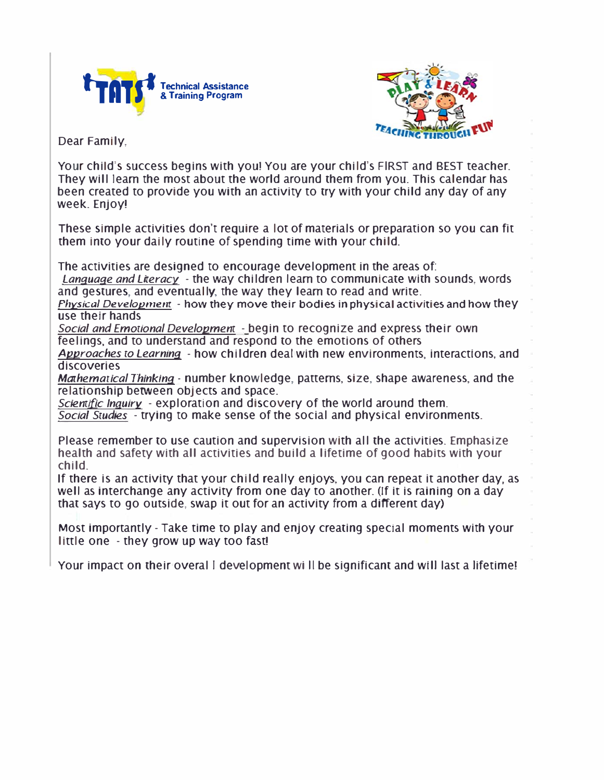



Dear Family,

Your child's success begins with you! You are your child's FIRST and BEST teacher. They will learn the most about the world around them from you. This calendar has been created to provide you with an activity to try with your child any day of any week. Enjoy!

These simple activities don't require a lot of materials or preparation so you can fit them into your daily routine of spending time with your child.

The activities are designed to encourage development in the areas of:

*Lanquaqe and Literacy* - the way children learn to communicate with sounds, words and gestures, and eventually, the way they learn to read and write.

*Physical Developmem* - how they move their bodies in physical activities and how they use their hands

*Social and Emocional Developmem* - begin to recognize and express their own feelings, and to understand and respond to the emotions of others

*Approaches co Learninq* - how children deal with new environments, interactions, and discoveries

*Mathematical Thinking - number knowledge, patterns, size, shape awareness, and the* relationship between objects and space.

*Sciemiflc Inquiry* - exploration and discovery of the world around them. *Social Scudies* - trying to make sense of the social and physical environments.

Please remember to use caution and supervision with all the activities. Emphasize health and safety with all activities and build a lifetime of good habits with your child.

If there is an activity that your child really enjoys, you can repeat it another day, as well as interchange any activity from one day to another. (If it is raining on a day that says to go outside, swap it out for an activity from a different day)

Most importantly- Take time to play and enjoy creating special moments with your little one - they grow up way too fast!

Your impact on their overal I development will be significant and will last a lifetime!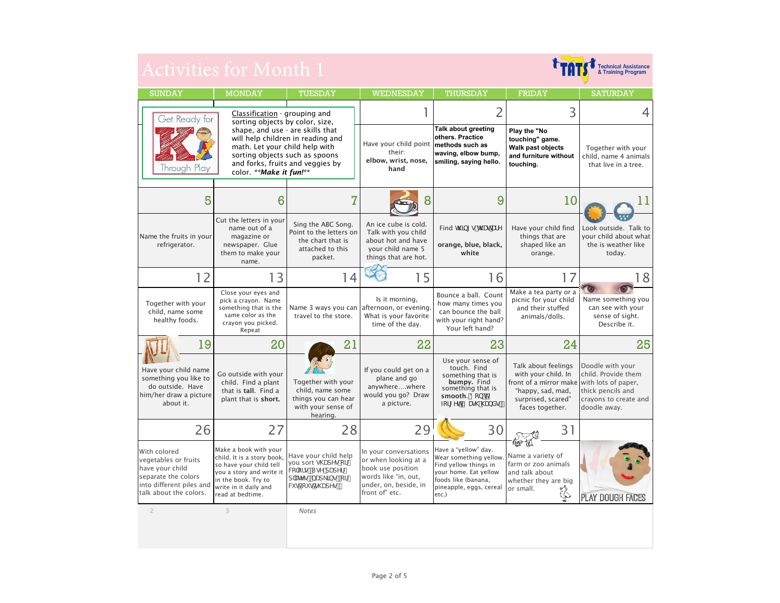| Activities for Month 1                                                                                                               |                                                                                                                                                                                |                                                                                                          |                                                                                                                                       |                                                                                                                                                             | <b>Technical Assistance<br/>&amp; Training Program</b>                                                                                                 |                                                                                                       |
|--------------------------------------------------------------------------------------------------------------------------------------|--------------------------------------------------------------------------------------------------------------------------------------------------------------------------------|----------------------------------------------------------------------------------------------------------|---------------------------------------------------------------------------------------------------------------------------------------|-------------------------------------------------------------------------------------------------------------------------------------------------------------|--------------------------------------------------------------------------------------------------------------------------------------------------------|-------------------------------------------------------------------------------------------------------|
| <b>SUNDAY</b>                                                                                                                        | <b>MONDAY</b>                                                                                                                                                                  | TUESDAY                                                                                                  | <b>WEDNESDAY</b>                                                                                                                      | THURSDAY                                                                                                                                                    | <b>FRIDAY</b>                                                                                                                                          | <b>SATURDAY</b>                                                                                       |
| Get Ready for                                                                                                                        | Classification - grouping and<br>sorting objects by color, size,                                                                                                               |                                                                                                          | 1                                                                                                                                     | $\overline{2}$                                                                                                                                              | 3                                                                                                                                                      | 4                                                                                                     |
| Through Play                                                                                                                         | shape, and use - are skills that<br>math. Let your child help with<br>sorting objects such as spoons<br>color. **Make it fun!**                                                | will help children in reading and<br>and forks, fruits and veggies by                                    | Have your child point<br>their:<br>elbow, wrist, nose,<br>hand                                                                        | Talk about greeting<br>others. Practice<br>methods such as<br>waving, elbow bump,<br>smiling, saying hello.                                                 | Play the "No<br>touching" game.<br>Walk past objects<br>and furniture without<br>touchina.                                                             | Together with your<br>child, name 4 animals<br>that live in a tree.                                   |
| 5                                                                                                                                    | 6                                                                                                                                                                              | 7                                                                                                        |                                                                                                                                       | 9                                                                                                                                                           | 10                                                                                                                                                     | 11                                                                                                    |
| Name the fruits in your<br>refrigerator.                                                                                             | Cut the letters in your<br>name out of a<br>magazine or<br>newspaper. Glue<br>them to make your<br>name.                                                                       | Sing the ABC Song.<br>Point to the letters on<br>the chart that is<br>attached to this<br>packet.        | An ice cube is cold.<br>Talk with you child<br>about hot and have<br>your child name 5<br>things that are hot.                        | Find h ]b[ g h UhUfY<br>orange, blue, black,<br>white                                                                                                       | Have your child find<br>things that are<br>shaped like an<br>orange.                                                                                   | Look outside. Talk to<br>vour child about what<br>the is weather like<br>today.                       |
| 12                                                                                                                                   | 13                                                                                                                                                                             | 14                                                                                                       | 15                                                                                                                                    | 16                                                                                                                                                          | 17                                                                                                                                                     | 18                                                                                                    |
| Together with your<br>child, name some<br>healthy foods.                                                                             | Close your eyes and<br>pick a crayon. Name<br>something that is the<br>same color as the<br>crayon you picked.<br>Repeat                                                       | travel to the store.                                                                                     | Is it morning,<br>Name 3 ways you can afternoon, or evening.<br>What is your favorite<br>time of the day.                             | Bounce a ball. Count<br>how many times you<br>can bounce the ball<br>with your right hand?<br>Your left hand?                                               | Make a tea party or a<br>picnic for your child<br>and their stuffed<br>animals/dolls.                                                                  | Name something you<br>can see with your<br>sense of sight.<br>Describe it.                            |
| 19                                                                                                                                   | 20                                                                                                                                                                             | 21                                                                                                       | 22                                                                                                                                    | 23                                                                                                                                                          | 24                                                                                                                                                     | 25                                                                                                    |
| Have your child name<br>something you like to<br>do outside. Have<br>him/her draw a picture<br>about it.                             | Go outside with your<br>child. Find a plant<br>that is tall. Find a<br>plant that is short.                                                                                    | Together with your<br>child, name some<br>things you can hear<br>with your sense of<br>hearing.          | If you could get on a<br>plane and go<br>anywherewhere<br>would you go? Draw<br>a picture.                                            | Use your sense of<br>touch. Find<br>something that is<br>bumpy. Find<br>something that is<br>smooth. 8cbffi<br>Zcf[ Yh K Ug\ \UbXg'                         | Talk about feelings<br>with your child. In<br>front of a mirror make with lots of paper,<br>"happy, sad, mad,<br>surprised, scared"<br>faces together. | Doodle with your<br>child. Provide them<br>thick pencils and<br>crayons to create and<br>doodle away. |
| 26                                                                                                                                   | 27                                                                                                                                                                             | 28                                                                                                       | 29                                                                                                                                    | 30                                                                                                                                                          | 31<br>1650-19                                                                                                                                          |                                                                                                       |
| With colored<br>vegetables or fruits<br>have your child<br>separate the colors<br>into different piles and<br>talk about the colors. | Make a book with your<br>child. It is a story book.<br>so have your child tell<br>you a story and write it<br>in the book. Try to<br>write in it daily and<br>read at bedtime. | Have your child help<br>you sort g\UdYg cf<br>We'cfg" I gY'dUdYf<br>d'UhYgžbUd ]bgžcf<br>WH ci hig\UdYg" | In your conversations<br>or when looking at a<br>book use position<br>words like "in, out,<br>under, on, beside, in<br>front of" etc. | Have a "yellow" day.<br>Wear something yellow.<br>Find yellow things in<br>your home. Eat yellow<br>foods like (banana,<br>pineapple, eggs, cereal<br>etc.) | Name a variety of<br>farm or zoo animals<br>and talk about<br>whether they are big<br>or small.                                                        | <b>PLAY DOUGH FACES</b>                                                                               |
| $\overline{2}$                                                                                                                       | 3                                                                                                                                                                              | <b>Notes</b>                                                                                             |                                                                                                                                       |                                                                                                                                                             |                                                                                                                                                        |                                                                                                       |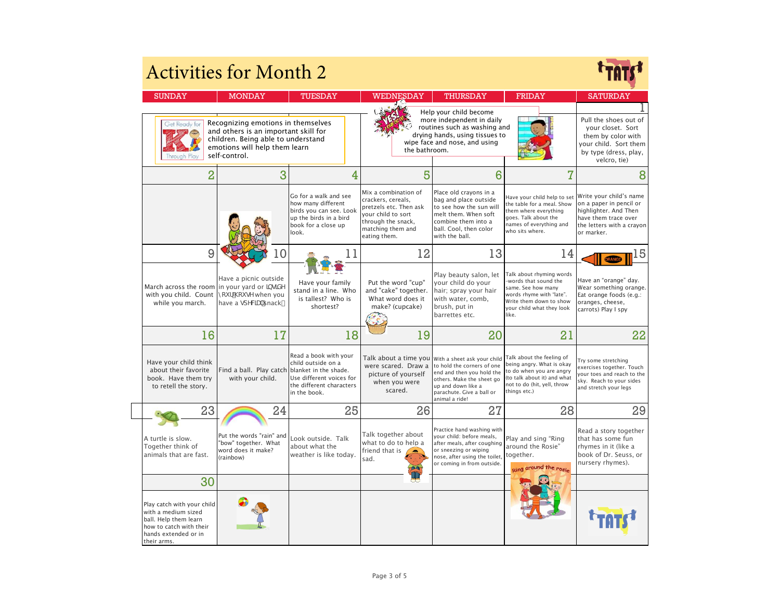| <b>Activities for Month 2</b>                                                                                                                |                                                                                                                                                                    |                                                                                                                                  |                                                                                                                                                       |                                                                                                                                                                                                                |                                                                                                                                                                     |                                                                                                                                                |
|----------------------------------------------------------------------------------------------------------------------------------------------|--------------------------------------------------------------------------------------------------------------------------------------------------------------------|----------------------------------------------------------------------------------------------------------------------------------|-------------------------------------------------------------------------------------------------------------------------------------------------------|----------------------------------------------------------------------------------------------------------------------------------------------------------------------------------------------------------------|---------------------------------------------------------------------------------------------------------------------------------------------------------------------|------------------------------------------------------------------------------------------------------------------------------------------------|
| <b>SUNDAY</b>                                                                                                                                | <b>MONDAY</b>                                                                                                                                                      | TUESDAY                                                                                                                          | WEDNESDAY                                                                                                                                             | THURSDAY                                                                                                                                                                                                       | <b>FRIDAY</b>                                                                                                                                                       | <b>SATURDAY</b>                                                                                                                                |
| Get Ready for<br>hrough                                                                                                                      | Recognizing emotions in themselves<br>and others is an important skill for<br>children. Being able to understand<br>emotions will help them learn<br>self-control. |                                                                                                                                  | the bathroom.                                                                                                                                         | Help your child become<br>more independent in daily<br>routines such as washing and<br>drying hands, using tissues to<br>wipe face and nose, and using                                                         |                                                                                                                                                                     | Pull the shoes out of<br>your closet. Sort<br>them by color with<br>your child. Sort them<br>by type (dress, play,<br>velcro, tie)             |
| $\overline{2}$                                                                                                                               | 3                                                                                                                                                                  | 4                                                                                                                                | 5                                                                                                                                                     | 6                                                                                                                                                                                                              | $\overline{I}$                                                                                                                                                      | 8                                                                                                                                              |
|                                                                                                                                              |                                                                                                                                                                    | Go for a walk and see<br>how many different<br>birds you can see. Look<br>up the birds in a bird<br>book for a close up<br>look. | Mix a combination of<br>crackers, cereals,<br>pretzels etc. Then ask<br>your child to sort<br>through the snack,<br>matching them and<br>eating them. | Place old crayons in a<br>bag and place outside<br>to see how the sun will<br>melt them. When soft<br>combine them into a<br>ball. Cool, then color<br>with the ball.                                          | Have your child help to set<br>the table for a meal. Show<br>them where everything<br>goes. Talk about the<br>names of everything and<br>who sits where.            | Write your child's name<br>on a paper in pencil or<br>highlighter. And Then<br>have them trace over<br>the letters with a crayon<br>or marker. |
| 9                                                                                                                                            |                                                                                                                                                                    |                                                                                                                                  | 12                                                                                                                                                    | 13                                                                                                                                                                                                             | 14                                                                                                                                                                  | 15                                                                                                                                             |
| March across the room in your yard or JbgJXY<br>with you child. Count<br>while you march.                                                    | Have a picnic outside<br>nci f'\ci gY when you<br>have a gdYVW 'snack"                                                                                             | Have your family<br>stand in a line. Who<br>is tallest? Who is<br>shortest?                                                      | Put the word "cup"<br>and "cake" together.<br>What word does it<br>make? (cupcake)                                                                    | Play beauty salon, let<br>your child do your<br>hair; spray your hair<br>with water, comb,<br>brush, put in<br>barrettes etc.                                                                                  | Talk about rhyming words<br>words that sound the<br>same. See how many<br>words rhyme with "late".<br>Write them down to show<br>your child what they look<br>like. | Have an "orange" day.<br>Wear something orange.<br>Eat orange foods (e.g.:<br>oranges, cheese,<br>carrots) Play I spy                          |
| 16                                                                                                                                           | 17                                                                                                                                                                 | 18                                                                                                                               | 19                                                                                                                                                    | 20                                                                                                                                                                                                             | 21                                                                                                                                                                  | 22                                                                                                                                             |
| Have your child think<br>about their favorite<br>book. Have them try<br>to retell the story.                                                 | Find a ball. Play catch blanket in the shade.<br>with your child.                                                                                                  | Read a book with your<br>child outside on a<br>Use different voices for<br>the different characters<br>in the book.              | were scared. Draw a<br>picture of yourself<br>when you were<br>scared.                                                                                | Talk about a time you With a sheet ask your child<br>to hold the corners of one<br>end and then you hold the<br>others. Make the sheet go<br>up and down like a<br>parachute. Give a ball or<br>animal a ride! | Talk about the feeling of<br>being angry. What is okay<br>to do when you are angry<br>(to talk about it) and what<br>not to do (hit, yell, throw<br>things etc.)    | Try some stretching<br>exercises together. Touch<br>your toes and reach to the<br>sky. Reach to your sides<br>and stretch your legs            |
| 23                                                                                                                                           | 24                                                                                                                                                                 | 25                                                                                                                               | 26                                                                                                                                                    | 27                                                                                                                                                                                                             | 28                                                                                                                                                                  | 29                                                                                                                                             |
| A turtle is slow.<br>Together think of<br>animals that are fast.                                                                             | Put the words "rain" and<br>"bow" together. What<br>word does it make?<br>(rainbow)                                                                                | Look outside. Talk<br>about what the<br>weather is like today.                                                                   | Talk together about<br>what to do to help a<br>friend that is<br>sad.                                                                                 | Practice hand washing with<br>your child: before meals,<br>after meals, after coughing<br>or sneezing or wiping<br>nose, after using the toilet,<br>or coming in from outside.                                 | Play and sing "Ring<br>around the Rosie"<br>together.<br>around the rosie                                                                                           | Read a story together<br>that has some fun<br>rhymes in it (like a<br>book of Dr. Seuss, or<br>nursery rhymes).                                |
| 30                                                                                                                                           |                                                                                                                                                                    |                                                                                                                                  |                                                                                                                                                       |                                                                                                                                                                                                                |                                                                                                                                                                     |                                                                                                                                                |
| Play catch with your child<br>with a medium sized<br>ball. Help them learn<br>how to catch with their<br>hands extended or in<br>their arms. |                                                                                                                                                                    |                                                                                                                                  |                                                                                                                                                       |                                                                                                                                                                                                                |                                                                                                                                                                     |                                                                                                                                                |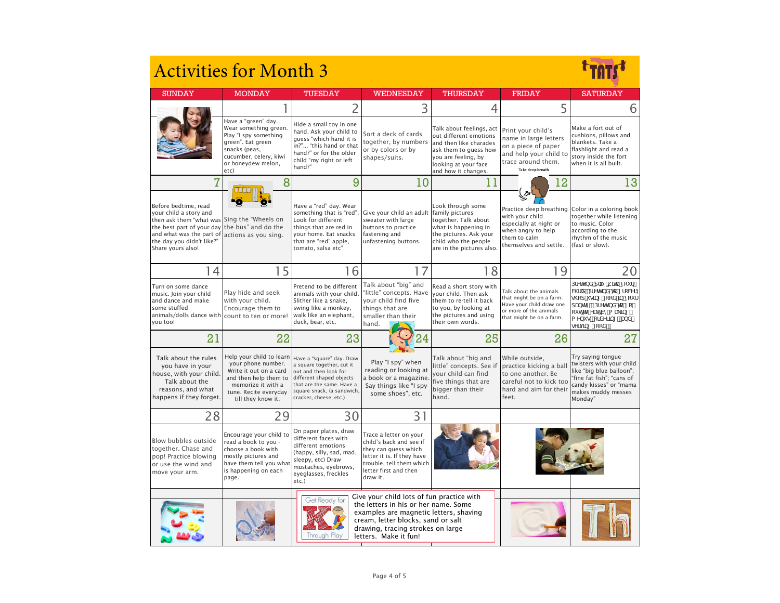| <b>Activities for Month 3</b>                                                                                                                                                                                                |                                                                                                                                                                        |                                                                                                                                                                                                  |                                                                                                                                                                                                                                 |                                                                                                                                                                             |                                                                                                                                        |                                                                                                                                                                               |
|------------------------------------------------------------------------------------------------------------------------------------------------------------------------------------------------------------------------------|------------------------------------------------------------------------------------------------------------------------------------------------------------------------|--------------------------------------------------------------------------------------------------------------------------------------------------------------------------------------------------|---------------------------------------------------------------------------------------------------------------------------------------------------------------------------------------------------------------------------------|-----------------------------------------------------------------------------------------------------------------------------------------------------------------------------|----------------------------------------------------------------------------------------------------------------------------------------|-------------------------------------------------------------------------------------------------------------------------------------------------------------------------------|
| <b>SUNDAY</b>                                                                                                                                                                                                                | <b>MONDAY</b>                                                                                                                                                          | TUESDAY                                                                                                                                                                                          | <b>WEDNESDAY</b>                                                                                                                                                                                                                | THURSDAY                                                                                                                                                                    | <b>FRIDAY</b>                                                                                                                          | SATURDAY                                                                                                                                                                      |
|                                                                                                                                                                                                                              |                                                                                                                                                                        | $\overline{2}$                                                                                                                                                                                   | 3                                                                                                                                                                                                                               | 4                                                                                                                                                                           | 5                                                                                                                                      | 6                                                                                                                                                                             |
|                                                                                                                                                                                                                              | Have a "green" day.<br>Wear something green.<br>Play "I spy something<br>green". Eat green<br>snacks (peas,<br>cucumber, celery, kiwi<br>or honeydew melon,<br>etc)    | Hide a small toy in one<br>hand. Ask your child to<br>quess "which hand it is<br>in?" "this hand or that<br>hand?" or for the older<br>child "my right or left<br>hand?"                         | Sort a deck of cards<br>together, by numbers<br>or by colors or by<br>shapes/suits.                                                                                                                                             | Talk about feelings, act<br>out different emotions<br>and then like charades<br>ask them to quess how<br>you are feeling, by<br>looking at your face<br>and how it changes. | Print your child's<br>name in large letters<br>on a piece of paper<br>and help your child to<br>trace around them.<br>Take deep breath | Make a fort out of<br>cushions, pillows and<br>blankets. Take a<br>flashlight and read a<br>story inside the fort<br>when it is all built.                                    |
| 7                                                                                                                                                                                                                            | 8                                                                                                                                                                      | 9                                                                                                                                                                                                | 10                                                                                                                                                                                                                              | 11                                                                                                                                                                          | 12                                                                                                                                     | 13                                                                                                                                                                            |
| Before bedtime, read<br>your child a story and<br>then ask them "what was Sing the "Wheels on<br>the best part of your day the bus" and do the<br>and what was the part of<br>the day you didn't like?"<br>Share yours also! | actions as you sing.                                                                                                                                                   | Have a "red" day. Wear<br>something that is "red".<br>Look for different<br>things that are red in<br>your home. Eat snacks<br>that are "red" apple,<br>tomato, salsa etc"                       | Give your child an adult family pictures<br>sweater with large<br>buttons to practice<br>fastening and<br>unfastening buttons.                                                                                                  | Look through some<br>together. Talk about<br>what is happening in<br>the pictures. Ask your<br>child who the people<br>are in the pictures also.                            | with your child<br>especially at night or<br>when angry to help<br>them to calm<br>themselves and settle.                              | Practice deep breathing Color in a coloring book<br>together while listening<br>to music. Color<br>according to the<br>rhythm of the music<br>(fast or slow).                 |
| 14                                                                                                                                                                                                                           | 15                                                                                                                                                                     | 16                                                                                                                                                                                               | 17                                                                                                                                                                                                                              | 18                                                                                                                                                                          | 19                                                                                                                                     | 20                                                                                                                                                                            |
| Turn on some dance<br>music. Join your child<br>and dance and make<br>some stuffed<br>animals/dolls dance with<br>vou too!                                                                                                   | Play hide and seek<br>with your child.<br>Encourage them to<br>count to ten or more!                                                                                   | Pretend to be different<br>animals with your child.<br>Slither like a snake.<br>swing like a monkey,<br>walk like an elephant,<br>duck, bear, etc.                                               | Talk about "big" and<br>"little" concepts. Have<br>your child find five<br>things that are<br>smaller than their<br>hand.                                                                                                       | Read a short story with<br>your child. Then ask<br>them to re-tell it back<br>to you, by looking at<br>the pictures and using<br>their own words.                           | Talk about the animals<br>that might be on a farm.<br>Have your child draw one<br>or more of the animals<br>that might be on a farm.   | DFYHYbX d'Umik ]h\ nci f<br>W]'X" DFYHYbX hc [fcWfn<br>g\cd ig]b[ ZccX ]b mcif<br>dUbhfm DfYhYbX hc [ c ]<br>ci hhc YUh'Vma U_]b[<br>a Ybi gž cfXYf]b[ ž UbX<br>gYfj]b[ ZccX" |
| 21                                                                                                                                                                                                                           | 22                                                                                                                                                                     | 23                                                                                                                                                                                               |                                                                                                                                                                                                                                 | 25                                                                                                                                                                          | 26                                                                                                                                     | 27                                                                                                                                                                            |
| Talk about the rules<br>you have in your<br>house, with your child.<br>Talk about the<br>reasons, and what<br>happens if they forget.                                                                                        | Help your child to learn<br>your phone number.<br>Write it out on a card<br>and then help them to<br>memorize it with a<br>tune. Recite everyday<br>till they know it. | Have a "square" day. Draw<br>a square together, cut it<br>out and then look for<br>different shaped objects<br>that are the same. Have a<br>square snack, (a sandwich,<br>cracker, cheese, etc.) | Play "I spy" when<br>reading or looking at<br>a book or a magazine.<br>Say things like "I spy<br>some shoes", etc.                                                                                                              | Talk about "big and<br>little" concepts. See if<br>your child can find<br>five things that are<br>bigger than their<br>hand.                                                | While outside,<br>practice kicking a ball<br>to one another. Be<br>careful not to kick too<br>hard and aim for their<br>feet.          | Try saying tongue<br>twisters with your child<br>like "big blue balloon";<br>'fine fat fish"; "cans of<br>candy kisses" or "mama<br>makes muddy messes<br>Monday"             |
| 28                                                                                                                                                                                                                           | 29                                                                                                                                                                     | 30                                                                                                                                                                                               | 31                                                                                                                                                                                                                              |                                                                                                                                                                             |                                                                                                                                        |                                                                                                                                                                               |
| Blow bubbles outside<br>together. Chase and<br>pop! Practice blowing<br>or use the wind and<br>move your arm.                                                                                                                | Encourage your child to<br>read a book to you -<br>choose a book with<br>mostly pictures and<br>have them tell you what<br>is happening on each<br>page.               | On paper plates, draw<br>different faces with<br>different emotions<br>(happy, silly, sad, mad,<br>sleepy, etc) Draw<br>mustaches, eyebrows,<br>eyeglasses, freckles<br>etc.)                    | Trace a letter on your<br>child's back and see if<br>they can guess which<br>letter it is. If they have<br>trouble, tell them which<br>letter first and then<br>draw it.                                                        |                                                                                                                                                                             |                                                                                                                                        |                                                                                                                                                                               |
|                                                                                                                                                                                                                              |                                                                                                                                                                        | Get Ready for                                                                                                                                                                                    | Give your child lots of fun practice with<br>the letters in his or her name. Some<br>examples are magnetic letters, shaving<br>cream, letter blocks, sand or salt<br>drawing, tracing strokes on large<br>letters. Make it fun! |                                                                                                                                                                             |                                                                                                                                        |                                                                                                                                                                               |